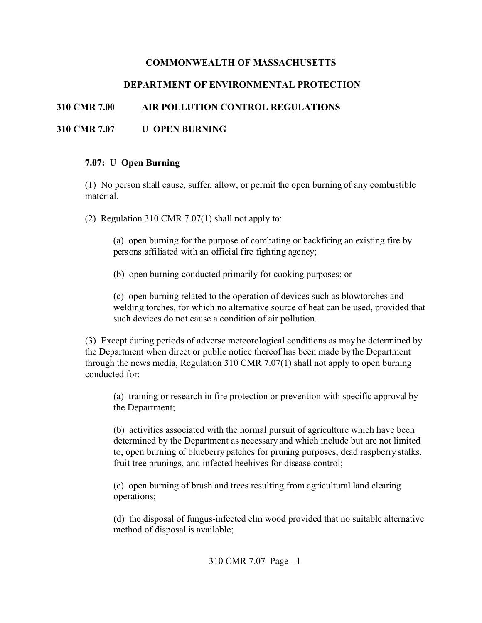#### **COMMONWEALTH OF MASSACHUSETTS**

# **DEPARTMENT OF ENVIRONMENTAL PROTECTION**

### **310 CMR 7.00 AIR POLLUTION CONTROL REGULATIONS**

### **310 CMR 7.07 U OPEN BURNING**

#### **7.07: U Open Burning**

(1) No person shall cause, suffer, allow, or permit the open burning of any combustible material.

(2) Regulation 310 CMR 7.07(1) shall not apply to:

(a) open burning for the purpose of combating or backfiring an existing fire by persons affiliated with an official fire fighting agency;

(b) open burning conducted primarily for cooking purposes; or

(c) open burning related to the operation of devices such as blowtorches and welding torches, for which no alternative source of heat can be used, provided that such devices do not cause a condition of air pollution.

(3) Except during periods of adverse meteorological conditions as may be determined by the Department when direct or public notice thereof has been made by the Department through the news media, Regulation 310 CMR 7.07(1) shall not apply to open burning conducted for:

(a) training or research in fire protection or prevention with specific approval by the Department;

(b) activities associated with the normal pursuit of agriculture which have been determined by the Department as necessary and which include but are not limited to, open burning of blueberry patches for pruning purposes, dead raspberry stalks, fruit tree prunings, and infected beehives for disease control;

(c) open burning of brush and trees resulting from agricultural land clearing operations;

(d) the disposal of fungus-infected elm wood provided that no suitable alternative method of disposal is available;

310 CMR 7.07 Page - 1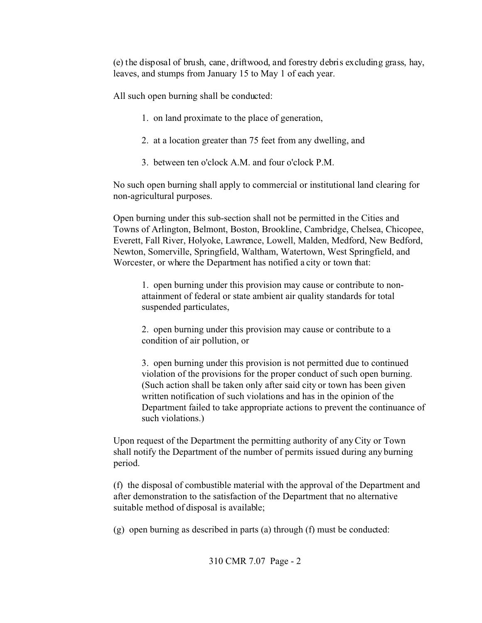(e) the disposal of brush, cane, driftwood, and forestry debris excluding grass, hay, leaves, and stumps from January 15 to May 1 of each year.

All such open burning shall be conducted:

- 1. on land proximate to the place of generation,
- 2. at a location greater than 75 feet from any dwelling, and
- 3. between ten o'clock A.M. and four o'clock P.M.

No such open burning shall apply to commercial or institutional land clearing for non-agricultural purposes.

Open burning under this sub-section shall not be permitted in the Cities and Towns of Arlington, Belmont, Boston, Brookline, Cambridge, Chelsea, Chicopee, Everett, Fall River, Holyoke, Lawrence, Lowell, Malden, Medford, New Bedford, Newton, Somerville, Springfield, Waltham, Watertown, West Springfield, and Worcester, or where the Department has notified a city or town that:

1. open burning under this provision may cause or contribute to nonattainment of federal or state ambient air quality standards for total suspended particulates,

2. open burning under this provision may cause or contribute to a condition of air pollution, or

3. open burning under this provision is not permitted due to continued violation of the provisions for the proper conduct of such open burning. (Such action shall be taken only after said city or town has been given written notification of such violations and has in the opinion of the Department failed to take appropriate actions to prevent the continuance of such violations.)

Upon request of the Department the permitting authority of any City or Town shall notify the Department of the number of permits issued during any burning period.

(f) the disposal of combustible material with the approval of the Department and after demonstration to the satisfaction of the Department that no alternative suitable method of disposal is available;

(g) open burning as described in parts (a) through (f) must be conducted: